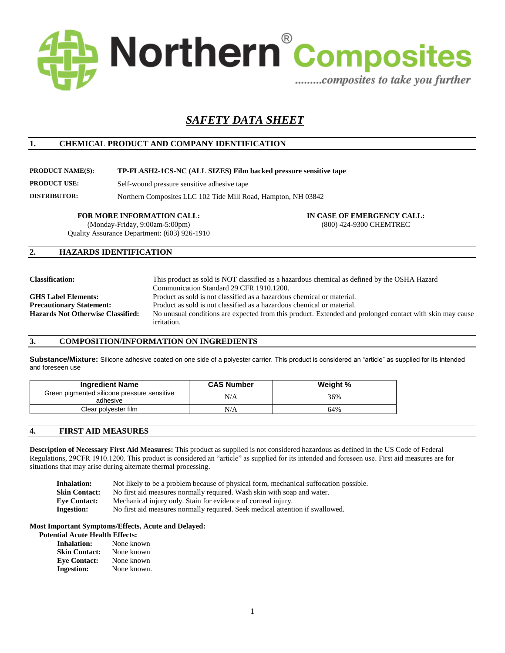

# *SAFETY DATA SHEET*

#### **1. CHEMICAL PRODUCT AND COMPANY IDENTIFICATION**

#### **PRODUCT NAME(S): TP-FLASH2-1CS-NC (ALL SIZES) Film backed pressure sensitive tape**

**PRODUCT USE:** Self-wound pressure sensitive adhesive tape

**DISTRIBUTOR:** Northern Composites LLC 102 Tide Mill Road, Hampton, NH 03842

(Monday-Friday, 9:00am-5:00pm) Quality Assurance Department: (603) 926-1910

**FOR MORE INFORMATION CALL: IN CASE OF EMERGENCY CALL:** (800) 424-9300 CHEMTREC

#### **2. HAZARDS IDENTIFICATION**

| <b>Classification:</b>            | This product as sold is NOT classified as a hazardous chemical as defined by the OSHA Hazard             |
|-----------------------------------|----------------------------------------------------------------------------------------------------------|
|                                   | Communication Standard 29 CFR 1910.1200.                                                                 |
| <b>GHS Label Elements:</b>        | Product as sold is not classified as a hazardous chemical or material.                                   |
| <b>Precautionary Statement:</b>   | Product as sold is not classified as a hazardous chemical or material.                                   |
| Hazards Not Otherwise Classified: | No unusual conditions are expected from this product. Extended and prolonged contact with skin may cause |
|                                   | irritation.                                                                                              |

#### **3. COMPOSITION/INFORMATION ON INGREDIENTS**

**Substance/Mixture:** Silicone adhesive coated on one side of a polyester carrier. This product is considered an "article" as supplied for its intended and foreseen use

| <b>Ingredient Name</b>                                  | <b>CAS Number</b> | Weight % |
|---------------------------------------------------------|-------------------|----------|
| Green pigmented silicone pressure sensitive<br>adhesive | N/A               | 36%      |
| Clear polyester film                                    | N/A               | 64%      |

#### **4. FIRST AID MEASURES**

**Description of Necessary First Aid Measures:** This product as supplied is not considered hazardous as defined in the US Code of Federal Regulations, 29CFR 1910.1200. This product is considered an "article" as supplied for its intended and foreseen use. First aid measures are for situations that may arise during alternate thermal processing.

| <b>Inhalation:</b>   | Not likely to be a problem because of physical form, mechanical suffocation possible. |
|----------------------|---------------------------------------------------------------------------------------|
| <b>Skin Contact:</b> | No first aid measures normally required. Wash skin with soap and water.               |
| <b>Eve Contact:</b>  | Mechanical injury only. Stain for evidence of corneal injury.                         |
| Ingestion:           | No first aid measures normally required. Seek medical attention if swallowed.         |

#### **Most Important Symptoms/Effects, Acute and Delayed:**

#### **Potential Acute Health Effects:**

| <b>Inhalation:</b>   | None known  |
|----------------------|-------------|
| <b>Skin Contact:</b> | None known  |
| <b>Eye Contact:</b>  | None known  |
| <b>Ingestion:</b>    | None known. |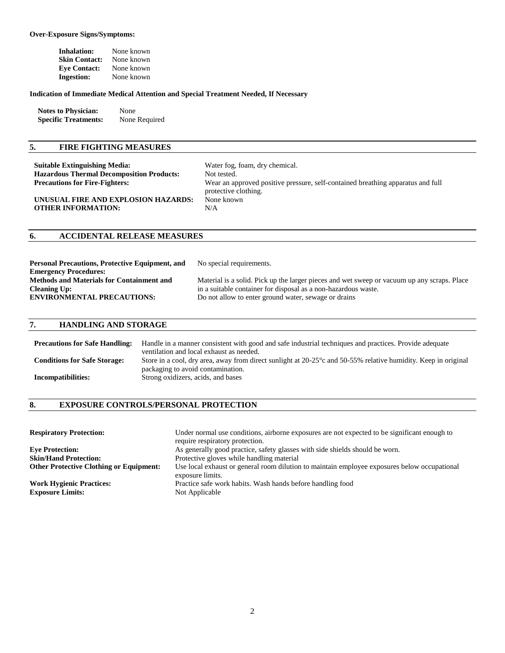#### **Over-Exposure Signs/Symptoms:**

| Inhalation:          | None known |
|----------------------|------------|
| <b>Skin Contact:</b> | None known |
| <b>Eye Contact:</b>  | None known |
| <b>Ingestion:</b>    | None known |

#### **Indication of Immediate Medical Attention and Special Treatment Needed, If Necessary**

| <b>Notes to Physician:</b>  | None          |
|-----------------------------|---------------|
| <b>Specific Treatments:</b> | None Required |

## **5. FIRE FIGHTING MEASURES**

| <b>Suitable Extinguishing Media:</b>                             | Water fog, foam, dry chemical.                                                                          |
|------------------------------------------------------------------|---------------------------------------------------------------------------------------------------------|
| <b>Hazardous Thermal Decomposition Products:</b>                 | Not tested.                                                                                             |
| <b>Precautions for Fire-Fighters:</b>                            | Wear an approved positive pressure, self-contained breathing apparatus and full<br>protective clothing. |
| UNUSUAL FIRE AND EXPLOSION HAZARDS:<br><b>OTHER INFORMATION:</b> | None known<br>N/A                                                                                       |

### **6. ACCIDENTAL RELEASE MEASURES**

| <b>Personal Precautions, Protective Equipment, and</b> | No special requirements.                                                                    |
|--------------------------------------------------------|---------------------------------------------------------------------------------------------|
| <b>Emergency Procedures:</b>                           |                                                                                             |
| <b>Methods and Materials for Containment and</b>       | Material is a solid. Pick up the larger pieces and wet sweep or vacuum up any scraps. Place |
| <b>Cleaning Up:</b>                                    | in a suitable container for disposal as a non-hazardous waste.                              |
| <b>ENVIRONMENTAL PRECAUTIONS:</b>                      | Do not allow to enter ground water, sewage or drains                                        |
|                                                        |                                                                                             |

#### **7. HANDLING AND STORAGE**

| <b>Precautions for Safe Handling:</b> | Handle in a manner consistent with good and safe industrial techniques and practices. Provide adequate                                  |
|---------------------------------------|-----------------------------------------------------------------------------------------------------------------------------------------|
|                                       | ventilation and local exhaust as needed.                                                                                                |
| <b>Conditions for Safe Storage:</b>   | Store in a cool, dry area, away from direct sunlight at 20-25 <sup>°</sup> c and 50-55 <sup>%</sup> relative humidity. Keep in original |
|                                       | packaging to avoid contamination.                                                                                                       |
| Incompatibilities:                    | Strong oxidizers, acids, and bases                                                                                                      |
|                                       |                                                                                                                                         |

#### **8. EXPOSURE CONTROLS/PERSONAL PROTECTION**

| <b>Respiratory Protection:</b>                             | Under normal use conditions, airborne exposures are not expected to be significant enough to<br>require respiratory protection. |
|------------------------------------------------------------|---------------------------------------------------------------------------------------------------------------------------------|
| <b>Eve Protection:</b>                                     | As generally good practice, safety glasses with side shields should be worn.                                                    |
| <b>Skin/Hand Protection:</b>                               | Protective gloves while handling material                                                                                       |
| <b>Other Protective Clothing or Equipment:</b>             | Use local exhaust or general room dilution to maintain employee exposures below occupational<br>exposure limits.                |
| <b>Work Hygienic Practices:</b><br><b>Exposure Limits:</b> | Practice safe work habits. Wash hands before handling food<br>Not Applicable                                                    |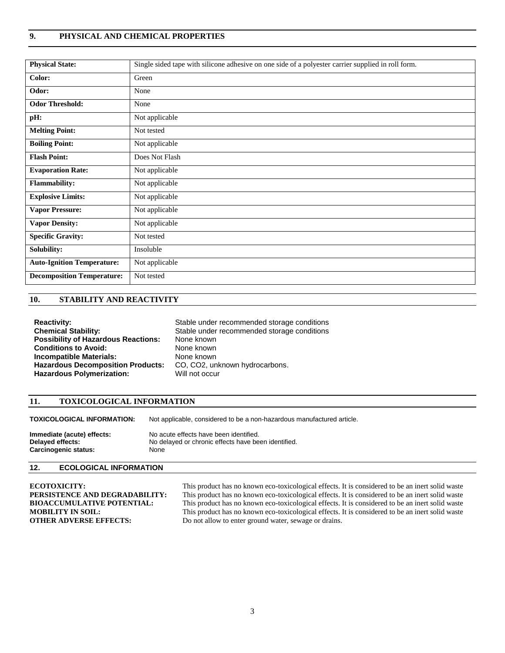### **9. PHYSICAL AND CHEMICAL PROPERTIES**

| <b>Physical State:</b>            | Single sided tape with silicone adhesive on one side of a polyester carrier supplied in roll form. |
|-----------------------------------|----------------------------------------------------------------------------------------------------|
| Color:                            | Green                                                                                              |
| Odor:                             | None                                                                                               |
| <b>Odor Threshold:</b>            | None                                                                                               |
| pH:                               | Not applicable                                                                                     |
| <b>Melting Point:</b>             | Not tested                                                                                         |
| <b>Boiling Point:</b>             | Not applicable                                                                                     |
| <b>Flash Point:</b>               | Does Not Flash                                                                                     |
| <b>Evaporation Rate:</b>          | Not applicable                                                                                     |
| <b>Flammability:</b>              | Not applicable                                                                                     |
| <b>Explosive Limits:</b>          | Not applicable                                                                                     |
| <b>Vapor Pressure:</b>            | Not applicable                                                                                     |
| <b>Vapor Density:</b>             | Not applicable                                                                                     |
| <b>Specific Gravity:</b>          | Not tested                                                                                         |
| Solubility:                       | Insoluble                                                                                          |
| <b>Auto-Ignition Temperature:</b> | Not applicable                                                                                     |
| <b>Decomposition Temperature:</b> | Not tested                                                                                         |

## **10. STABILITY AND REACTIVITY**

| <b>Reactivity:</b>                         | Stable under recommended storage conditions |
|--------------------------------------------|---------------------------------------------|
| <b>Chemical Stability:</b>                 | Stable under recommended storage conditions |
| <b>Possibility of Hazardous Reactions:</b> | None known                                  |
| <b>Conditions to Avoid:</b>                | None known                                  |
| <b>Incompatible Materials:</b>             | None known                                  |
| <b>Hazardous Decomposition Products:</b>   | CO, CO2, unknown hydrocarbons.              |
| <b>Hazardous Polymerization:</b>           | Will not occur                              |

#### **11. TOXICOLOGICAL INFORMATION**

**TOXICOLOGICAL INFORMATION:** Not applicable, considered to be a non-hazardous manufactured article.

| Immediate (acute) effects: | No acute effects have been identified.              |
|----------------------------|-----------------------------------------------------|
| Delayed effects:           | No delayed or chronic effects have been identified. |
| Carcinogenic status:       | None                                                |

#### **12. ECOLOGICAL INFORMATION**

**ECOTOXICITY:** This product has no known eco-toxicological effects. It is considered to be an inert solid waste<br>**PERSISTENCE AND DEGRADABILITY:** This product has no known eco-toxicological effects. It is considered to be a **PERSISTENCE AND DEGRADABILITY:** This product has no known eco-toxicological effects. It is considered to be an inert solid waste **BIOACCUMULATIVE POTENTIAL:** This product has no known eco-toxicological effects. It is cons **BIOACCUMULATIVE POTENTIAL:** This product has no known eco-toxicological effects. It is considered to be an inert solid waste **MOBILITY IN SOIL:** This product has no known eco-toxicological effects. It is considered to be This product has no known eco-toxicological effects. It is considered to be an inert solid waste **OTHER ADVERSE EFFECTS:** Do not allow to enter ground water, sewage or drains.